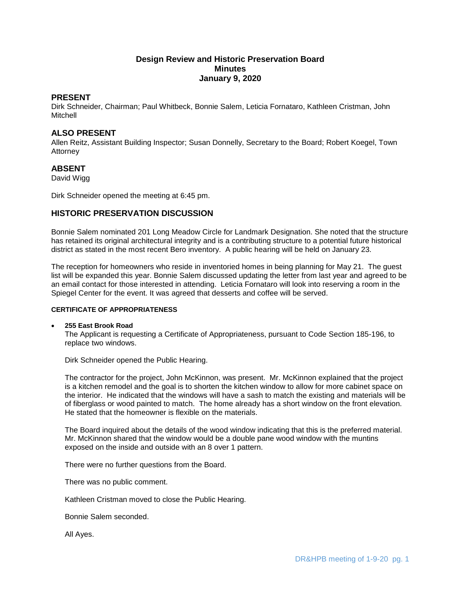# **Design Review and Historic Preservation Board Minutes January 9, 2020**

# **PRESENT**

Dirk Schneider, Chairman; Paul Whitbeck, Bonnie Salem, Leticia Fornataro, Kathleen Cristman, John Mitchell

# **ALSO PRESENT**

Allen Reitz, Assistant Building Inspector; Susan Donnelly, Secretary to the Board; Robert Koegel, Town Attorney

## **ABSENT**

David Wigg

Dirk Schneider opened the meeting at 6:45 pm.

# **HISTORIC PRESERVATION DISCUSSION**

Bonnie Salem nominated 201 Long Meadow Circle for Landmark Designation. She noted that the structure has retained its original architectural integrity and is a contributing structure to a potential future historical district as stated in the most recent Bero inventory. A public hearing will be held on January 23.

The reception for homeowners who reside in inventoried homes in being planning for May 21. The guest list will be expanded this year. Bonnie Salem discussed updating the letter from last year and agreed to be an email contact for those interested in attending. Leticia Fornataro will look into reserving a room in the Spiegel Center for the event. It was agreed that desserts and coffee will be served.

## **CERTIFICATE OF APPROPRIATENESS**

#### **255 East Brook Road**

The Applicant is requesting a Certificate of Appropriateness, pursuant to Code Section 185-196, to replace two windows.

Dirk Schneider opened the Public Hearing.

The contractor for the project, John McKinnon, was present. Mr. McKinnon explained that the project is a kitchen remodel and the goal is to shorten the kitchen window to allow for more cabinet space on the interior. He indicated that the windows will have a sash to match the existing and materials will be of fiberglass or wood painted to match. The home already has a short window on the front elevation. He stated that the homeowner is flexible on the materials.

The Board inquired about the details of the wood window indicating that this is the preferred material. Mr. McKinnon shared that the window would be a double pane wood window with the muntins exposed on the inside and outside with an 8 over 1 pattern.

There were no further questions from the Board.

There was no public comment.

Kathleen Cristman moved to close the Public Hearing.

Bonnie Salem seconded.

All Ayes.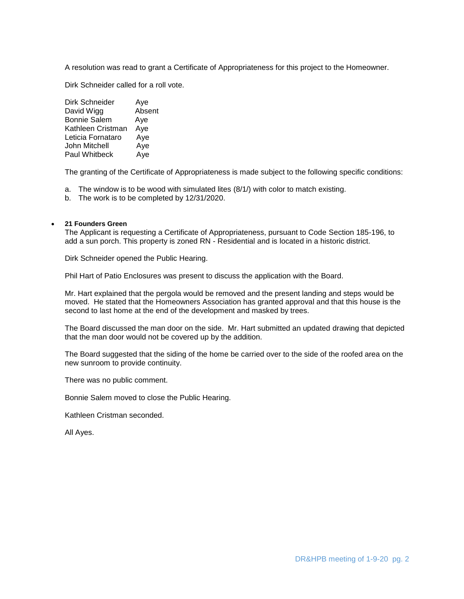A resolution was read to grant a Certificate of Appropriateness for this project to the Homeowner.

Dirk Schneider called for a roll vote.

| Dirk Schneider       | Aye    |
|----------------------|--------|
| David Wigg           | Absent |
| <b>Bonnie Salem</b>  | Aye    |
| Kathleen Cristman    | Aye    |
| Leticia Fornataro    | Aye    |
| John Mitchell        | Aye    |
| <b>Paul Whitbeck</b> | Aye    |

The granting of the Certificate of Appropriateness is made subject to the following specific conditions:

- a. The window is to be wood with simulated lites (8/1/) with color to match existing.
- b. The work is to be completed by 12/31/2020.

## **21 Founders Green**

The Applicant is requesting a Certificate of Appropriateness, pursuant to Code Section 185-196, to add a sun porch. This property is zoned RN - Residential and is located in a historic district.

Dirk Schneider opened the Public Hearing.

Phil Hart of Patio Enclosures was present to discuss the application with the Board.

Mr. Hart explained that the pergola would be removed and the present landing and steps would be moved. He stated that the Homeowners Association has granted approval and that this house is the second to last home at the end of the development and masked by trees.

The Board discussed the man door on the side. Mr. Hart submitted an updated drawing that depicted that the man door would not be covered up by the addition.

The Board suggested that the siding of the home be carried over to the side of the roofed area on the new sunroom to provide continuity.

There was no public comment.

Bonnie Salem moved to close the Public Hearing.

Kathleen Cristman seconded.

All Ayes.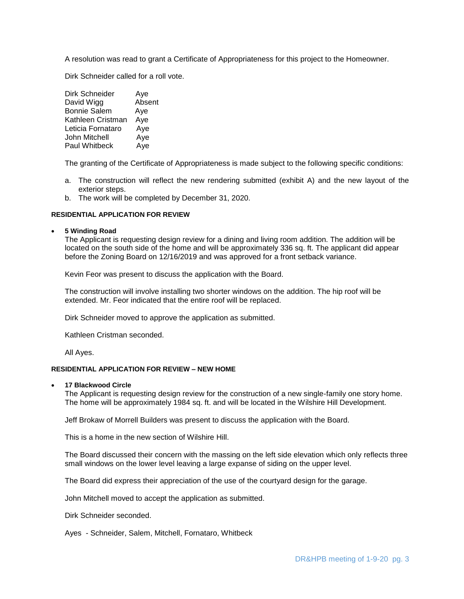A resolution was read to grant a Certificate of Appropriateness for this project to the Homeowner.

Dirk Schneider called for a roll vote.

| Dirk Schneider       | Aye    |
|----------------------|--------|
| David Wigg           | Absent |
| <b>Bonnie Salem</b>  | Aye    |
| Kathleen Cristman    | Aye    |
| Leticia Fornataro    | Aye    |
| John Mitchell        | Aye    |
| <b>Paul Whitbeck</b> | Aye    |

The granting of the Certificate of Appropriateness is made subject to the following specific conditions:

- a. The construction will reflect the new rendering submitted (exhibit A) and the new layout of the exterior steps.
- b. The work will be completed by December 31, 2020.

## **RESIDENTIAL APPLICATION FOR REVIEW**

## **5 Winding Road**

The Applicant is requesting design review for a dining and living room addition. The addition will be located on the south side of the home and will be approximately 336 sq. ft. The applicant did appear before the Zoning Board on 12/16/2019 and was approved for a front setback variance.

Kevin Feor was present to discuss the application with the Board.

The construction will involve installing two shorter windows on the addition. The hip roof will be extended. Mr. Feor indicated that the entire roof will be replaced.

Dirk Schneider moved to approve the application as submitted.

Kathleen Cristman seconded.

All Ayes.

#### **RESIDENTIAL APPLICATION FOR REVIEW – NEW HOME**

#### **17 Blackwood Circle**

The Applicant is requesting design review for the construction of a new single-family one story home. The home will be approximately 1984 sq. ft. and will be located in the Wilshire Hill Development.

Jeff Brokaw of Morrell Builders was present to discuss the application with the Board.

This is a home in the new section of Wilshire Hill.

The Board discussed their concern with the massing on the left side elevation which only reflects three small windows on the lower level leaving a large expanse of siding on the upper level.

The Board did express their appreciation of the use of the courtyard design for the garage.

John Mitchell moved to accept the application as submitted.

Dirk Schneider seconded.

Ayes - Schneider, Salem, Mitchell, Fornataro, Whitbeck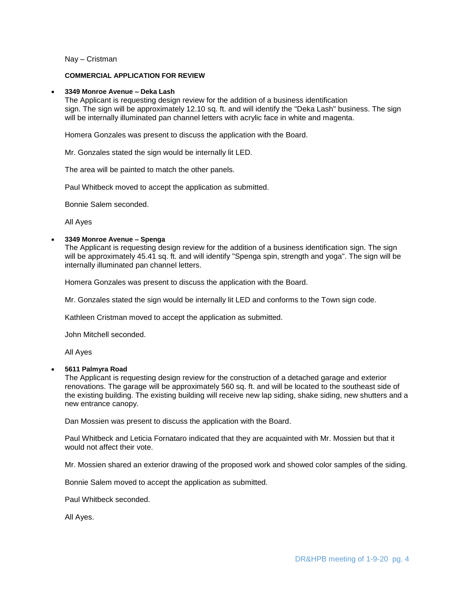Nay – Cristman

#### **COMMERCIAL APPLICATION FOR REVIEW**

#### **3349 Monroe Avenue – Deka Lash**

The Applicant is requesting design review for the addition of a business identification sign. The sign will be approximately 12.10 sq. ft. and will identify the "Deka Lash" business. The sign will be internally illuminated pan channel letters with acrylic face in white and magenta.

Homera Gonzales was present to discuss the application with the Board.

Mr. Gonzales stated the sign would be internally lit LED.

The area will be painted to match the other panels.

Paul Whitbeck moved to accept the application as submitted.

Bonnie Salem seconded.

All Ayes

## **3349 Monroe Avenue – Spenga**

The Applicant is requesting design review for the addition of a business identification sign. The sign will be approximately 45.41 sq. ft. and will identify "Spenga spin, strength and yoga". The sign will be internally illuminated pan channel letters.

Homera Gonzales was present to discuss the application with the Board.

Mr. Gonzales stated the sign would be internally lit LED and conforms to the Town sign code.

Kathleen Cristman moved to accept the application as submitted.

John Mitchell seconded.

All Ayes

#### **5611 Palmyra Road**

The Applicant is requesting design review for the construction of a detached garage and exterior renovations. The garage will be approximately 560 sq. ft. and will be located to the southeast side of the existing building. The existing building will receive new lap siding, shake siding, new shutters and a new entrance canopy.

Dan Mossien was present to discuss the application with the Board.

Paul Whitbeck and Leticia Fornataro indicated that they are acquainted with Mr. Mossien but that it would not affect their vote.

Mr. Mossien shared an exterior drawing of the proposed work and showed color samples of the siding.

Bonnie Salem moved to accept the application as submitted.

Paul Whitbeck seconded.

All Ayes.